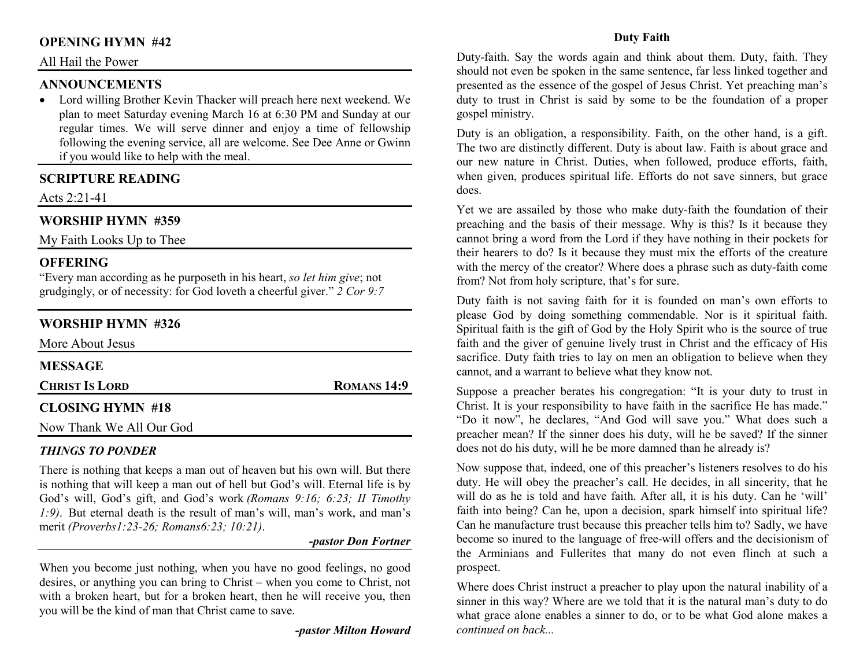#### **OPENING HYMN #42**

#### All Hail the Power

#### **ANNOUNCEMENTS**

 • Lord willing Brother Kevin Thacker will preach here next weekend. We plan to meet Saturday evening March 16 at 6:30 PM and Sunday at our regular times. We will serve dinner and enjoy a time of fellowship following the evening service, all are welcome. See Dee Anne or Gwinn if you would like to help with the meal.

#### **SCRIPTURE READING**

Acts 2:21-41

### **WORSHIP HYMN #359**

My Faith Looks Up to Thee

#### **OFFERING**

 "Every man according as he purposeth in his heart, *so let him give*; not grudgingly, or of necessity: for God loveth a cheerful giver." *2 Cor 9:7*

## **WORSHIP HYMN #326**

| More About Jesus         |             |
|--------------------------|-------------|
| <b>MESSAGE</b>           |             |
| <b>CHRIST IS LORD</b>    | ROMANS 14:9 |
| <b>CLOSING HYMN #18</b>  |             |
| Now Thank We All Our God |             |

#### *THINGS TO PONDER*

 There is nothing that keeps a man out of heaven but his own will. But there is nothing that will keep a man out of hell but God's will. Eternal life is by God's will, God's gift, and God's work *(Romans 9:16; 6:23; II Timothy 1:9)*. But eternal death is the result of man's will, man's work, and man's merit *(Proverbs1:23-26; Romans6:23; 10:21)*.

#### *-pastor Don Fortner*

When you become just nothing, when you have no good feelings, no good desires, or anything you can bring to Christ – when you come to Christ, not with a broken heart, but for a broken heart, then he will receive you, then you will be the kind of man that Christ came to save.

*-pastor Milton Howard*

#### **Duty Faith**

Duty-faith. Say the words again and think about them. Duty, faith. They should not even be spoken in the same sentence, far less linked together and presented as the essence of the gospel of Jesus Christ. Yet preaching man's duty to trust in Christ is said by some to be the foundation of a proper gospel ministry.

Duty is an obligation, a responsibility. Faith, on the other hand, is a gift. The two are distinctly different. Duty is about law. Faith is about grace and our new nature in Christ. Duties, when followed, produce efforts, faith, when given, produces spiritual life. Efforts do not save sinners, but grace does.

Yet we are assailed by those who make duty-faith the foundation of their preaching and the basis of their message. Why is this? Is it because they cannot bring a word from the Lord if they have nothing in their pockets for their hearers to do? Is it because they must mix the efforts of the creature with the mercy of the creator? Where does a phrase such as duty-faith come from? Not from holy scripture, that's for sure.

Duty faith is not saving faith for it is founded on man's own efforts to please God by doing something commendable. Nor is it spiritual faith. Spiritual faith is the gift of God by the Holy Spirit who is the source of true faith and the giver of genuine lively trust in Christ and the efficacy of His sacrifice. Duty faith tries to lay on men an obligation to believe when they cannot, and a warrant to believe what they know not.

Suppose a preacher berates his congregation: "It is your duty to trust in Christ. It is your responsibility to have faith in the sacrifice He has made." "Do it now", he declares, "And God will save you." What does such a preacher mean? If the sinner does his duty, will he be saved? If the sinner does not do his duty, will he be more damned than he already is?

Now suppose that, indeed, one of this preacher's listeners resolves to do his duty. He will obey the preacher's call. He decides, in all sincerity, that he will do as he is told and have faith. After all, it is his duty. Can he 'will' faith into being? Can he, upon a decision, spark himself into spiritual life? Can he manufacture trust because this preacher tells him to? Sadly, we have become so inured to the language of free-will offers and the decisionism of the Arminians and Fullerites that many do not even flinch at such a prospect.

Where does Christ instruct a preacher to play upon the natural inability of a sinner in this way? Where are we told that it is the natural man's duty to do what grace alone enables a sinner to do, or to be what God alone makes a *continued on back...*